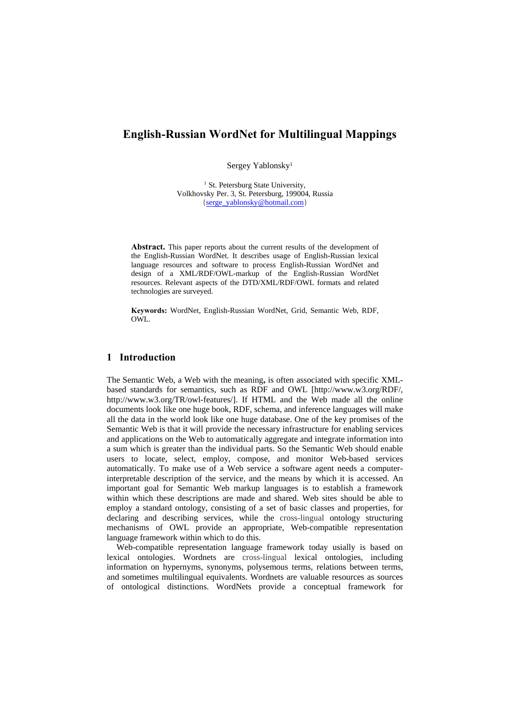# **English-Russian WordNet for Multilingual Mappings**

Sergey Yablonsky1

<sup>1</sup> St. Petersburg State University, Volkhovsky Per. 3, St. Petersburg, 199004, Russia {serge\_yablonsky@hotmail.com}

**Abstract.** This paper reports about the current results of the development of the English-Russian WordNet. It describes usage of English-Russian lexical language resources and software to process English-Russian WordNet and design of a XML/RDF/OWL-markup of the English-Russian WordNet resources. Relevant aspects of the DTD/XML/RDF/OWL formats and related technologies are surveyed.

**Keywords:** WordNet, English-Russian WordNet, Grid, Semantic Web, RDF, OWL.

## **1 Introduction**

The Semantic Web, a Web with the meaning**,** is often associated with specific XMLbased standards for semantics, such as RDF and OWL [http://www.w3.org/RDF/, http://www.w3.org/TR/owl-features/]. If HTML and the Web made all the online documents look like one huge book, RDF, schema, and inference languages will make all the data in the world look like one huge database. One of the key promises of the Semantic Web is that it will provide the necessary infrastructure for enabling services and applications on the Web to automatically aggregate and integrate information into a sum which is greater than the individual parts. So the Semantic Web should enable users to locate, select, employ, compose, and monitor Web-based services automatically. To make use of a Web service a software agent needs a computerinterpretable description of the service, and the means by which it is accessed. An important goal for Semantic Web markup languages is to establish a framework within which these descriptions are made and shared. Web sites should be able to employ a standard ontology, consisting of a set of basic classes and properties, for declaring and describing services, while the cross-lingual ontology structuring mechanisms of OWL provide an appropriate, Web-compatible representation language framework within which to do this.

Web-compatible representation language framework today usially is based on lexical ontologies. Wordnets are cross-lingual lexical ontologies, including information on hypernyms, synonyms, polysemous terms, relations between terms, and sometimes multilingual equivalents. Wordnets are valuable resources as sources of ontological distinctions. WordNets provide a conceptual framework for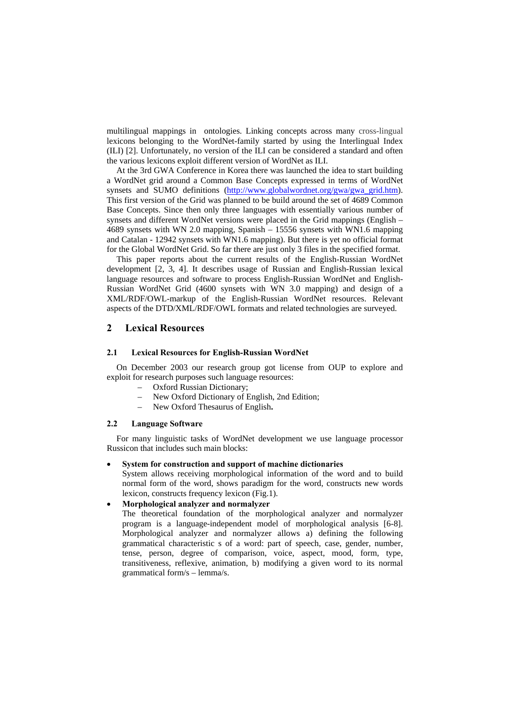multilingual mappings in ontologies. Linking concepts across many cross-lingual lexicons belonging to the WordNet-family started by using the Interlingual Index (ILI) [2]. Unfortunately, no version of the ILI can be considered a standard and often the various lexicons exploit different version of WordNet as ILI.

At the 3rd GWA Conference in Korea there was launched the idea to start building a WordNet grid around a Common Base Concepts expressed in terms of WordNet synsets and SUMO definitions (http://www.globalwordnet.org/gwa/gwa\_grid.htm). This first version of the Grid was planned to be build around the set of 4689 Common Base Concepts. Since then only three languages with essentially various number of synsets and different WordNet versions were placed in the Grid mappings (English – 4689 synsets with WN 2.0 mapping, Spanish – 15556 synsets with WN1.6 mapping and Catalan - 12942 synsets with WN1.6 mapping). But there is yet no official format for the Global WordNet Grid. So far there are just only 3 files in the specified format.

This paper reports about the current results of the English-Russian WordNet development [2, 3, 4]. It describes usage of Russian and English-Russian lexical language resources and software to process English-Russian WordNet and English-Russian WordNet Grid (4600 synsets with WN 3.0 mapping) and design of a XML/RDF/OWL-markup of the English-Russian WordNet resources. Relevant aspects of the DTD/XML/RDF/OWL formats and related technologies are surveyed.

## **2 Lexical Resources**

#### **2.1 Lexical Resources for English-Russian WordNet**

On December 2003 our research group got license from OUP to explore and exploit for research purposes such language resources:

- Oxford Russian Dictionary;
- New Oxford Dictionary of English, 2nd Edition;
- New Oxford Thesaurus of English**.**

#### **2.2 Language Software**

For many linguistic tasks of WordNet development we use language processor Russicon that includes such main blocks:

#### **System for construction and support of machine dictionaries**

System allows receiving morphological information of the word and to build normal form of the word, shows paradigm for the word, constructs new words lexicon, constructs frequency lexicon (Fig.1).

#### **Morphological analyzer and normalyzer**

The theoretical foundation of the morphological analyzer and normalyzer program is a language-independent model of morphological analysis [6-8]. Morphological analyzer and normalyzer allows a) defining the following grammatical characteristic s of a word: part of speech, case, gender, number, tense, person, degree of comparison, voice, aspect, mood, form, type, transitiveness, reflexive, animation, b) modifying a given word to its normal grammatical form/s – lemma/s.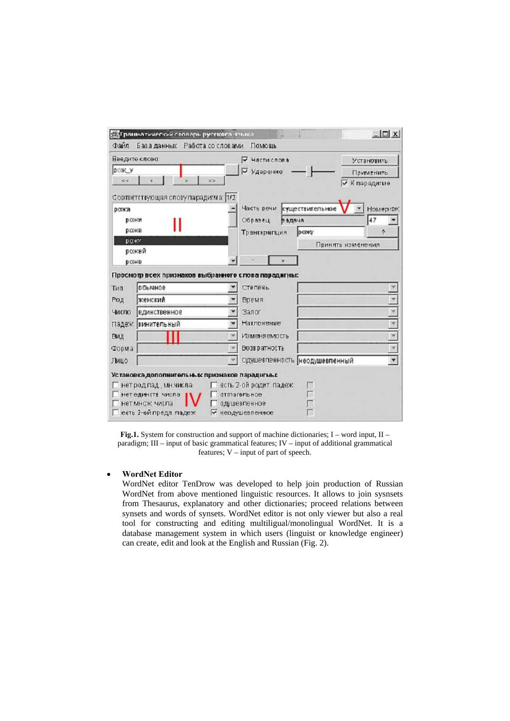|                            | <b>SEAF раннатический словарь русского эзыка</b>               |               |                              |         |                               |                   | $   \Box x  $           |  |
|----------------------------|----------------------------------------------------------------|---------------|------------------------------|---------|-------------------------------|-------------------|-------------------------|--|
| <b><i><u>Davin</u></i></b> | База данных Работа со словами                                  |               | Помощь                       |         |                               |                   |                         |  |
| Введите слово:             |                                                                |               | ₩ Части слова                |         |                               |                   | <b>Установить</b>       |  |
| <b>DOK_V</b>               |                                                                | ᢑ<br>Ударение |                              |         |                               | Применить         |                         |  |
| <<                         |                                                                | >             |                              |         |                               | ⊽                 | К парадигме             |  |
|                            | Соответствующая слову парадигма: 1/2                           |               |                              |         |                               |                   |                         |  |
| рожа                       |                                                                |               | Часть речи                   |         | существительное               |                   | Номер ФК                |  |
|                            | рожи                                                           |               | Образец                      | в адача |                               |                   | 47                      |  |
|                            | роже                                                           |               | Транскрипция                 |         | рожу                          |                   | ٠                       |  |
|                            | <b>DOWN</b>                                                    |               |                              |         |                               | Принять изменения |                         |  |
|                            | рожей<br>роже                                                  |               |                              |         |                               |                   |                         |  |
|                            |                                                                |               |                              |         |                               |                   |                         |  |
|                            | Просмотр всех признаков выбранного слова парадигны:<br>обычное |               | Степень                      |         |                               |                   |                         |  |
| тип                        | женский                                                        |               |                              |         |                               |                   | G                       |  |
| Род                        |                                                                |               | <b>Время</b>                 |         |                               |                   |                         |  |
| Число                      | единственное                                                   |               | Залог<br>Наклонение          |         |                               |                   | $\frac{9}{7}$           |  |
|                            | Падеж винительный                                              |               |                              |         |                               |                   |                         |  |
| Вид                        |                                                                |               | Изменяемость                 |         |                               |                   | F                       |  |
|                            |                                                                |               | <b>Возвратность</b>          |         |                               |                   | $\overline{\mathbf{v}}$ |  |
| Форма                      |                                                                |               |                              |         |                               |                   |                         |  |
| Лицо                       |                                                                |               |                              |         | Одушевленность неодушевленный |                   | Y                       |  |
|                            | Установка дополнительных признаков парадигмы:                  |               |                              |         |                               |                   |                         |  |
|                            | нетродпад, мн.числа                                            |               | есть 2-ой родит, падеж       |         |                               |                   |                         |  |
|                            | нет единств. числа<br>нет множ числа                           |               | отглагольное<br>одушевленное |         | ū<br>Ţ                        |                   |                         |  |

**Fig.1.** System for construction and support of machine dictionaries; I – word input, II – paradigm; III – input of basic grammatical features; IV – input of additional grammatical features; V – input of part of speech.

#### **WordNet Editor**

WordNet editor TenDrow was developed to help join production of Russian WordNet from above mentioned linguistic resources. It allows to join sysnsets from Thesaurus, explanatory and other dictionaries; proceed relations between synsets and words of synsets. WordNet editor is not only viewer but also a real tool for constructing and editing multiligual/monolingual WordNet. It is a database management system in which users (linguist or knowledge engineer) can create, edit and look at the English and Russian (Fig. 2).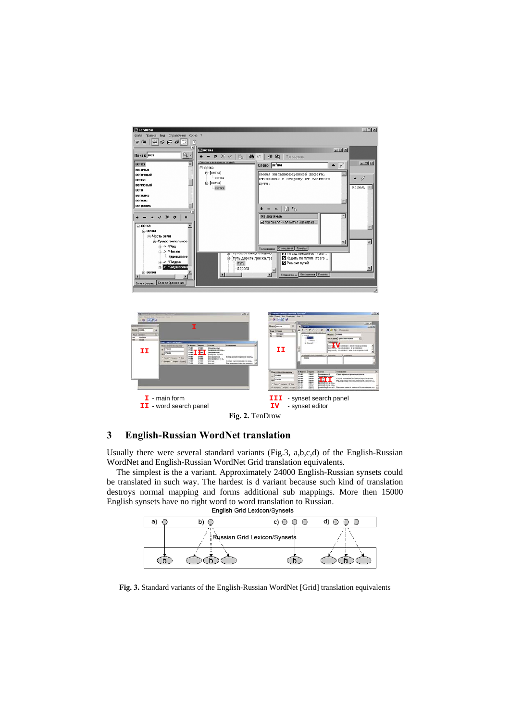



## **3 English-Russian WordNet translation**

Usually there were several standard variants (Fig.3, a,b,c,d) of the English-Russian WordNet and English-Russian WordNet Grid translation equivalents.

The simplest is the a variant. Approximately 24000 English-Russian synsets could be translated in such way. The hardest is d variant because such kind of translation destroys normal mapping and forms additional sub mappings. More then 15000 English synsets have no right word to word translation to Russian.



**Fig. 3.** Standard variants of the English-Russian WordNet [Grid] translation equivalents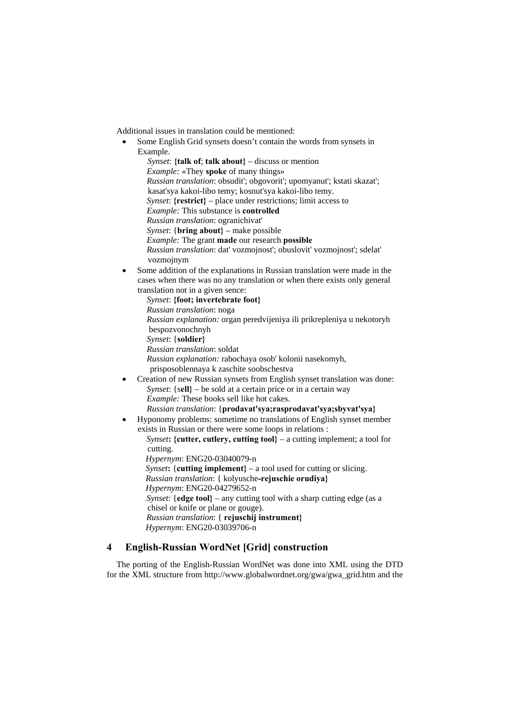Additional issues in translation could be mentioned:

 Some English Grid synsets doesn't contain the words from synsets in Example.

 *Synset*: **{talk of**; **talk about}** – discuss or mention *Example:* «They **spoke** of many things» *Russian translation*: obsudit'; obgovorit'; upomyanut'; kstati skazat'; kasat'sya kakoi-libo temy; kosnut'sya kakoi-libo temy. *Synset*: **{restrict}** – place under restrictions; limit access to *Example:* This substance is **controlled** *Russian translation*: ogranichivat' *Synset*: {**bring about}** – make possible *Example:* The grant **made** our research **possible** *Russian translation*: dat' vozmojnost'; obuslovit' vozmojnost'; sdelat' vozmojnym

 Some addition of the explanations in Russian translation were made in the cases when there was no any translation or when there exists only general translation not in a given sence:

*Synset*: **{foot; invertebrate foot}**  *Russian translation*: noga *Russian explanation:* organ peredvijeniya ili prikrepleniya u nekotoryh bespozvonochnyh *Synset*: {**soldier}** *Russian translation*: soldat *Russian explanation:* rabochaya osob' kolonii nasekomyh,

- prisposoblennaya k zaschite soobschestva
- Creation of new Russian synsets from English synset translation was done: *Synset*: {s**ell}** – be sold at a certain price or in a certain way *Example:* These books sell like hot cakes. *Russian translation*: {**prodavat'sya;rasprodavat'sya;sbyvat'sya}**
- Hyponomy problems: sometime no translations of English synset member exists in Russian or there were some loops in relations :

*Synset***:** {cutter, cutlery, cutting tool} – a cutting implement; a tool for cutting.

- *Hypernym*: ENG20-03040079-n
- *Synset***:** {**cutting implement}**  a tool used for cutting or slicing.
- *Russian translation*: { kolyusche**-rejuschie orudiya}**
- *Hypernym*: ENG20-04279652-n
	- *Synset*: {**edge tool}**  any cutting tool with a sharp cutting edge (as a chisel or knife or plane or gouge).
	- *Russian translation*: { **rejuschij instrument}**
	- *Hypernym*: ENG20-03039706-n

# **4 English-Russian WordNet [Grid] construction**

The porting of the English-Russian WordNet was done into XML using the DTD for the XML structure from http://www.globalwordnet.org/gwa/gwa\_grid.htm and the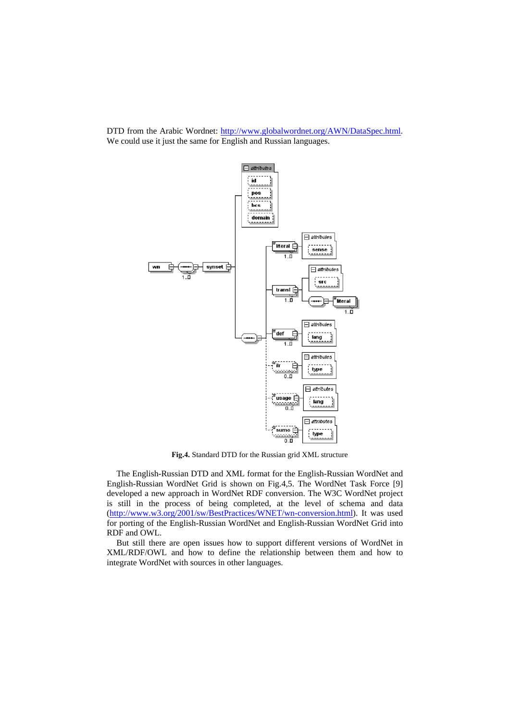DTD from the Arabic Wordnet: http://www.globalwordnet.org/AWN/DataSpec.html. We could use it just the same for English and Russian languages.



**Fig.4.** Standard DTD for the Russian grid XML structure

The English-Russian DTD and XML format for the English-Russian WordNet and English-Russian WordNet Grid is shown on Fig.4,5. The WordNet Task Force [9] developed a new approach in WordNet RDF conversion. The W3C WordNet project is still in the process of being completed, at the level of schema and data (http://www.w3.org/2001/sw/BestPractices/WNET/wn-conversion.html). It was used for porting of the English-Russian WordNet and English-Russian WordNet Grid into RDF and OWL.

But still there are open issues how to support different versions of WordNet in XML/RDF/OWL and how to define the relationship between them and how to integrate WordNet with sources in other languages.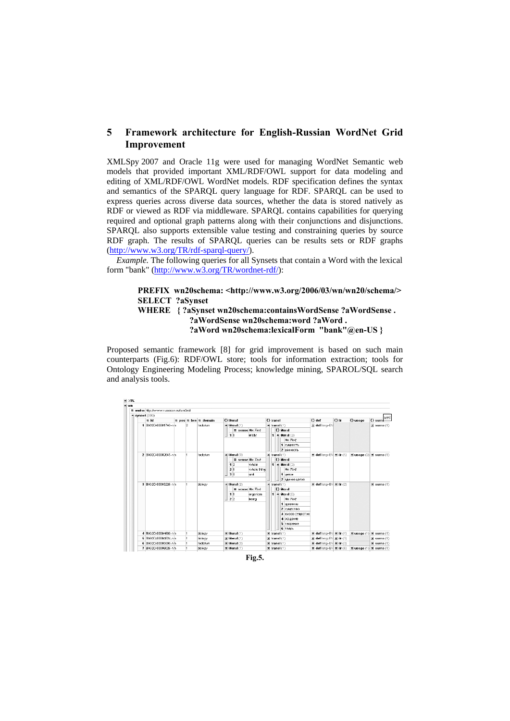## **5 Framework architecture for English-Russian WordNet Grid Improvement**

XMLSpy 2007 and Oracle 11g were used for managing WordNet Semantic web models that provided important XML/RDF/OWL support for data modeling and editing of XML/RDF/OWL WordNet models. RDF specification defines the syntax and semantics of the SPARQL query language for RDF. SPARQL can be used to express queries across diverse data sources, whether the data is stored natively as RDF or viewed as RDF via middleware. SPARQL contains capabilities for querying required and optional graph patterns along with their conjunctions and disjunctions. SPARQL also supports extensible value testing and constraining queries by source RDF graph. The results of SPARQL queries can be results sets or RDF graphs (http://www.w3.org/TR/rdf-sparql-query/).

*Example.* The following queries for all Synsets that contain a Word with the lexical form "bank" (http://www.w3.org/TR/wordnet-rdf/):

## **PREFIX wn20schema: <http://www.w3.org/2006/03/wn/wn20/schema/> SELECT ?aSynset WHERE { ?aSynset wn20schema:containsWordSense ?aWordSense . ?aWordSense wn20schema:word ?aWord .**

 **?aWord wn20schema:lexicalForm "bank"@en-US }** 

Proposed semantic framework [8] for grid improvement is based on such main counterparts (Fig.6): RDF/OWL store; tools for information extraction; tools for Ontology Engineering Modeling Process; knowledge mining, SPAROL/SQL search and analysis tools.



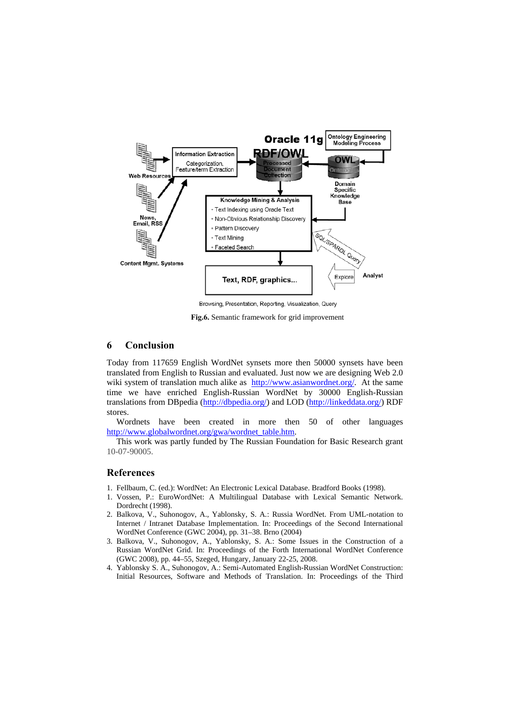

Browsing, Presentation, Reporting, Visualization, Query

**Fig.6.** Semantic framework for grid improvement

## **6 Conclusion**

Today from 117659 English WordNet synsets more then 50000 synsets have been translated from English to Russian and evaluated. Just now we are designing Web 2.0 wiki system of translation much alike as http://www.asianwordnet.org/. At the same time we have enriched English-Russian WordNet by 30000 English-Russian translations from DBpedia (http://dbpedia.org/) and LOD (http://linkeddata.org/) RDF stores.

Wordnets have been created in more then 50 of other languages http://www.globalwordnet.org/gwa/wordnet\_table.htm.

This work was partly funded by The Russian Foundation for Basic Research grant 10-07-90005.

#### **References**

- 1. Fellbaum, C. (ed.): WordNet: An Electronic Lexical Database. Bradford Books (1998).
- 1. Vossen, P.: EuroWordNet: A Multilingual Database with Lexical Semantic Network. Dordrecht (1998).
- 2. Balkova, V., Suhonogov, A., Yablonsky, S. A*.*: Russia WordNet. From UML-notation to Internet / Intranet Database Implementation. In: Proceedings of the Second International WordNet Conference (GWC 2004), pp. 31–38. Brno (2004)
- 3. Balkova, V., Suhonogov, A., Yablonsky, S. A*.*: Some Issues in the Construction of a Russian WordNet Grid. In: Proceedings of the Forth International WordNet Conference (GWC 2008), pp. 44–55, Szeged, Hungary, January 22-25, 2008.
- 4. Yablonsky S. A., Suhonogov, A.: Semi-Automated English-Russian WordNet Construction: Initial Resources, Software and Methods of Translation. In: Proceedings of the Third